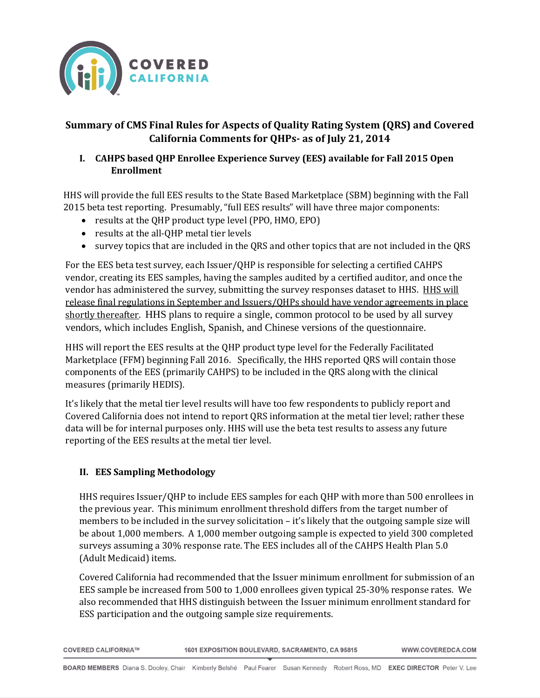

# **Summary of CMS Final Rules for Aspects of Quality Rating System (QRS) and Covered California Comments for QHPs- as of July 21, 2014**

#### **I. CAHPS based QHP Enrollee Experience Survey (EES) available for Fall 2015 Open Enrollment**

HHS will provide the full EES results to the State Based Marketplace (SBM) beginning with the Fall 2015 beta test reporting. Presumably, "full EES results" will have three major components:

- results at the OHP product type level (PPO, HMO, EPO)
- results at the all-QHP metal tier levels
- survey topics that are included in the QRS and other topics that are not included in the QRS

For the EES beta test survey, each Issuer/QHP is responsible for selecting a certified CAHPS vendor, creating its EES samples, having the samples audited by a certified auditor, and once the vendor has administered the survey, submitting the survey responses dataset to HHS. HHS will release final regulations in September and Issuers/QHPs should have vendor agreements in place shortly thereafter. HHS plans to require a single, common protocol to be used by all survey vendors, which includes English, Spanish, and Chinese versions of the questionnaire.

HHS will report the EES results at the QHP product type level for the Federally Facilitated Marketplace (FFM) beginning Fall 2016. Specifically, the HHS reported QRS will contain those components of the EES (primarily CAHPS) to be included in the QRS along with the clinical measures (primarily HEDIS).

It's likely that the metal tier level results will have too few respondents to publicly report and Covered California does not intend to report QRS information at the metal tier level; rather these data will be for internal purposes only. HHS will use the beta test results to assess any future reporting of the EES results at the metal tier level.

#### **II. EES Sampling Methodology**

HHS requires Issuer/QHP to include EES samples for each QHP with more than 500 enrollees in the previous year. This minimum enrollment threshold differs from the target number of members to be included in the survey solicitation – it's likely that the outgoing sample size will be about 1,000 members. A 1,000 member outgoing sample is expected to yield 300 completed surveys assuming a 30% response rate. The EES includes all of the CAHPS Health Plan 5.0 (Adult Medicaid) items.

Covered California had recommended that the Issuer minimum enrollment for submission of an EES sample be increased from 500 to 1,000 enrollees given typical 25-30% response rates. We also recommended that HHS distinguish between the Issuer minimum enrollment standard for ESS participation and the outgoing sample size requirements.

| <b>COVERED CALIFORNIA™</b> |
|----------------------------|

1601 EXPOSITION BOULEVARD, SACRAMENTO, CA 95815

WWW.COVEREDCA.COM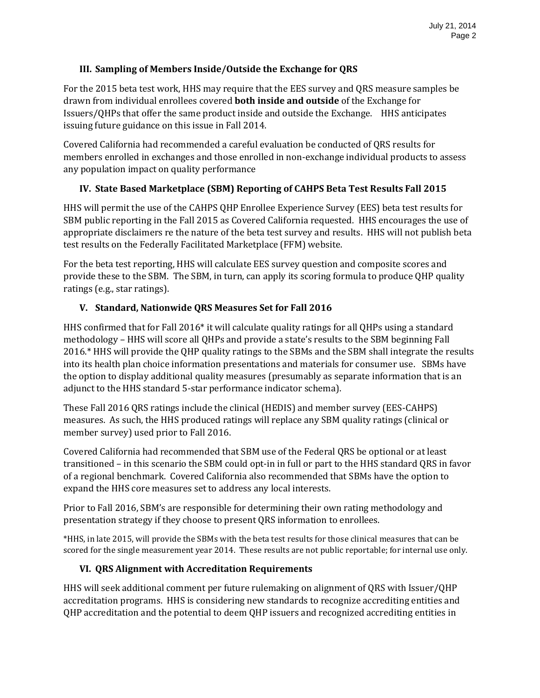#### **III. Sampling of Members Inside/Outside the Exchange for QRS**

For the 2015 beta test work, HHS may require that the EES survey and QRS measure samples be drawn from individual enrollees covered **both inside and outside** of the Exchange for Issuers/QHPs that offer the same product inside and outside the Exchange. HHS anticipates issuing future guidance on this issue in Fall 2014.

Covered California had recommended a careful evaluation be conducted of QRS results for members enrolled in exchanges and those enrolled in non-exchange individual products to assess any population impact on quality performance

#### **IV. State Based Marketplace (SBM) Reporting of CAHPS Beta Test Results Fall 2015**

HHS will permit the use of the CAHPS QHP Enrollee Experience Survey (EES) beta test results for SBM public reporting in the Fall 2015 as Covered California requested. HHS encourages the use of appropriate disclaimers re the nature of the beta test survey and results. HHS will not publish beta test results on the Federally Facilitated Marketplace (FFM) website.

For the beta test reporting, HHS will calculate EES survey question and composite scores and provide these to the SBM. The SBM, in turn, can apply its scoring formula to produce QHP quality ratings (e.g., star ratings).

## **V. Standard, Nationwide QRS Measures Set for Fall 2016**

HHS confirmed that for Fall 2016\* it will calculate quality ratings for all QHPs using a standard methodology – HHS will score all QHPs and provide a state's results to the SBM beginning Fall 2016.\* HHS will provide the QHP quality ratings to the SBMs and the SBM shall integrate the results into its health plan choice information presentations and materials for consumer use. SBMs have the option to display additional quality measures (presumably as separate information that is an adjunct to the HHS standard 5-star performance indicator schema).

These Fall 2016 QRS ratings include the clinical (HEDIS) and member survey (EES-CAHPS) measures. As such, the HHS produced ratings will replace any SBM quality ratings (clinical or member survey) used prior to Fall 2016.

Covered California had recommended that SBM use of the Federal QRS be optional or at least transitioned – in this scenario the SBM could opt-in in full or part to the HHS standard QRS in favor of a regional benchmark. Covered California also recommended that SBMs have the option to expand the HHS core measures set to address any local interests.

Prior to Fall 2016, SBM's are responsible for determining their own rating methodology and presentation strategy if they choose to present QRS information to enrollees.

\*HHS, in late 2015, will provide the SBMs with the beta test results for those clinical measures that can be scored for the single measurement year 2014. These results are not public reportable; for internal use only.

#### **VI. QRS Alignment with Accreditation Requirements**

HHS will seek additional comment per future rulemaking on alignment of QRS with Issuer/QHP accreditation programs. HHS is considering new standards to recognize accrediting entities and QHP accreditation and the potential to deem QHP issuers and recognized accrediting entities in